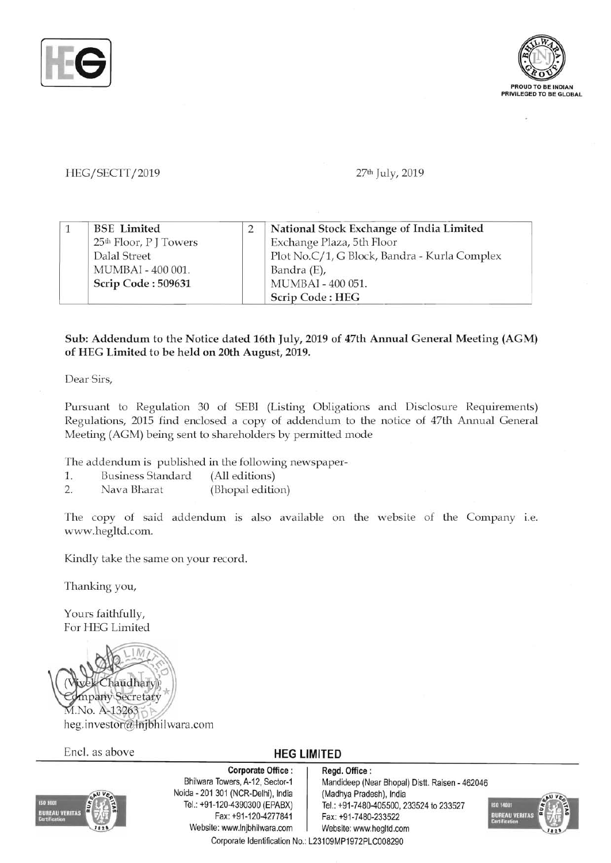



# HEG/SECTT/2019 **27th July, 2019**

|  | <b>BSE</b> Limited                 | National Stock Exchange of India Limited     |
|--|------------------------------------|----------------------------------------------|
|  | 25 <sup>th</sup> Floor, P J Towers | Exchange Plaza, 5th Floor                    |
|  | Dalal Street                       | Plot No.C/1, G Block, Bandra - Kurla Complex |
|  | MUMBAI - 400 001.                  | Bandra (E),                                  |
|  | Scrip Code: 509631                 | MUMBAI - 400 051.                            |
|  |                                    | Scrip Code: HEG                              |

## Sub: Addendum to the Notice dated 16th July, 2019 of 47th Annual General Meeting (AGM) of REG Limited to be held on 20th August, 2019.

Dear Sirs,

Pursuant to Regulation 30 of SEBI (Listing Obligations and Disclosure Requirements) Regulations, 2015 find enclosed a copy of addendum to the notice of 47th Annual General Meeting (AGM) being sent to shareholders by permitted mode

The addendum is published in the following newspaper-

- 1. Business Standard (All editions)
- 2. Nava Bharat (Bhopal edition)

The copy of said addendum is also available on the website of the Company i.e. www.hegltd.com.

Kindly take the same on your record.

Thanking you,

Yours faithfully, For HEG Limited



Encl. as above **HEG LIMITED** 



Corporate Office: Regd. Office:<br>Bhilwara Towers, A-12, Sector-1 Mandideep (Ne Noida - 201 301 (NCR-Delhi), India (Madhya Pradesh), India<br>Tel.: +91-120-4390300 (EPABX) Tel.: +91-7480-405500, 2 Fax: +91-120-4277841 Fax: +91-7480-233522 Website: www.lnjbhilwara.com | Website: www.hegltd.com Corporate Identification No.: L23109MP1972PLC008290

Mandideep (Near Bhopal) Distt. Raisen - 462046 Tel.: +91-7480-405500, 233524 to 233527